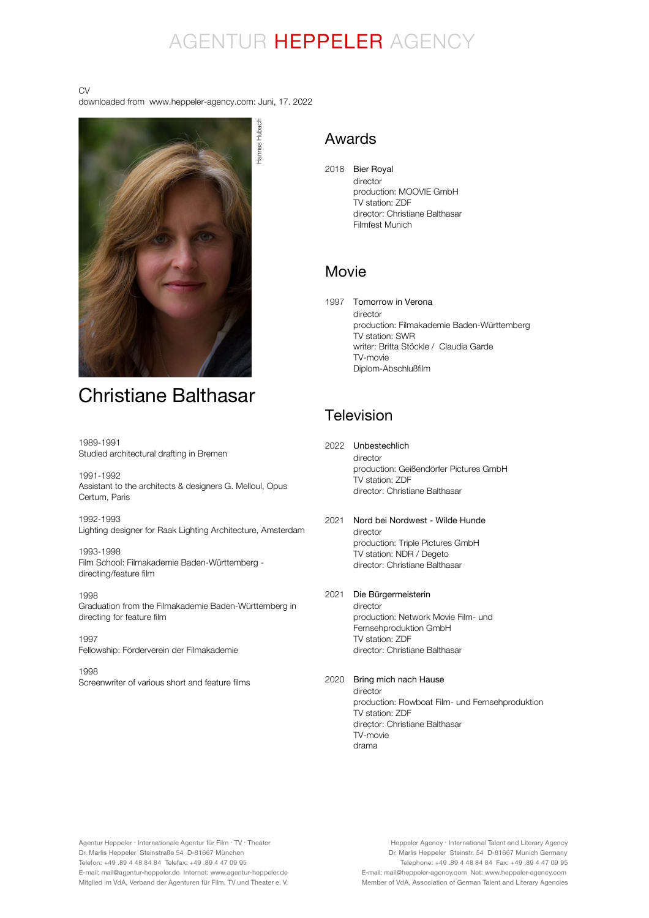# AGENTUR HEPPELER AGENCY

#### CV

downloaded from www.heppeler-agency.com: Juni, 17. 2022



# Christiane Balthasar

1989-1991 Studied architectural drafting in Bremen

1991-1992 Assistant to the architects & designers G. Melloul, Opus Certum, Paris

1992-1993 Lighting designer for Raak Lighting Architecture, Amsterdam

1993-1998 Film School: Filmakademie Baden-Württemberg directing/feature film

1998 Graduation from the Filmakademie Baden-Württemberg in directing for feature film

1997 Fellowship: Förderverein der Filmakademie

1998 Screenwriter of various short and feature films

# Awards

2018 Bier Royal director production: MOOVIE GmbH TV station: ZDF director: Christiane Balthasar Filmfest Munich

# Movie

1997 Tomorrow in Verona director production: Filmakademie Baden-Württemberg TV station: SWR writer: Britta Stöckle / Claudia Garde TV-movie Diplom-Abschlußfilm

# Television

- 2022 Unbestechlich director production: Geißendörfer Pictures GmbH TV station: ZDF director: Christiane Balthasar
- 2021 Nord bei Nordwest Wilde Hunde director production: Triple Pictures GmbH TV station: NDR / Degeto director: Christiane Balthasar
- 2021 Die Bürgermeisterin

director production: Network Movie Film- und Fernsehproduktion GmbH TV station: ZDF director: Christiane Balthasar

#### 2020 Bring mich nach Hause

director production: Rowboat Film- und Fernsehproduktion TV station: ZDF director: Christiane Balthasar TV-movie drama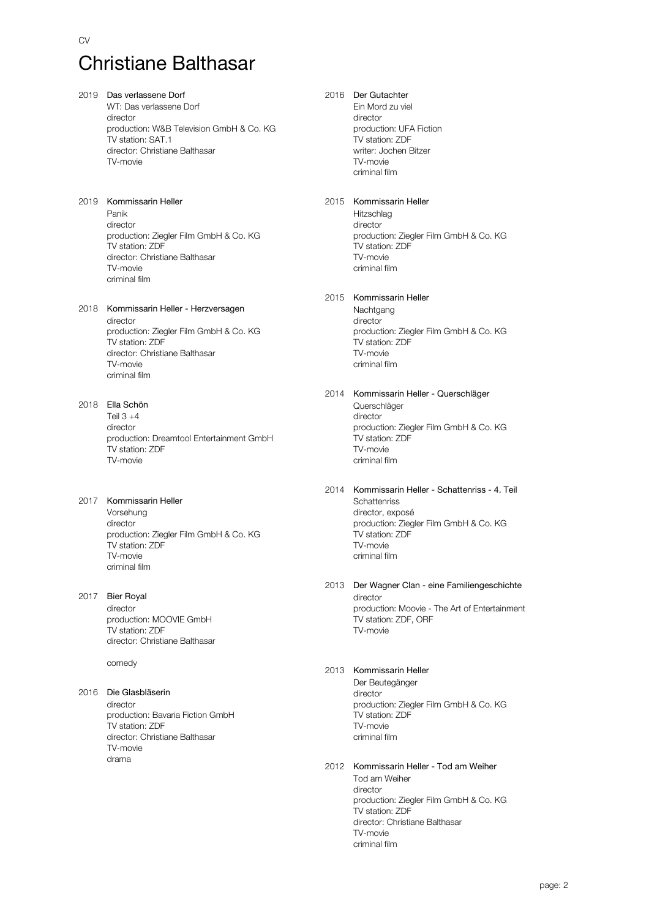# Christiane Balthasar

#### 2019 Das verlassene Dorf

WT: Das verlassene Dorf director production: W&B Television GmbH & Co. KG TV station: SAT.1 director: Christiane Balthasar TV-movie

#### 2019 Kommissarin Heller Panik director production: Ziegler Film GmbH & Co. KG TV station: ZDF director: Christiane Balthasar TV-movie criminal film

# 2018 Kommissarin Heller - Herzversagen

director production: Ziegler Film GmbH & Co. KG TV station: ZDF director: Christiane Balthasar TV-movie criminal film

# 2018 Ella Schön

Teil 3 +4 director production: Dreamtool Entertainment GmbH TV station: ZDF TV-movie

# 2017 Kommissarin Heller

Vorsehung director production: Ziegler Film GmbH & Co. KG TV station: ZDF TV-movie criminal film

# 2017 Bier Royal

director production: MOOVIE GmbH TV station: ZDF director: Christiane Balthasar

comedy

# 2016 Die Glasbläserin

director production: Bavaria Fiction GmbH TV station: ZDF director: Christiane Balthasar TV-movie drama

# 2016 Der Gutachter

Ein Mord zu viel director production: UFA Fiction TV station: ZDF writer: Jochen Bitzer TV-movie criminal film

## 2015 Kommissarin Heller

**Hitzschlag** director production: Ziegler Film GmbH & Co. KG TV station: ZDF TV-movie criminal film

## 2015 Kommissarin Heller

**Nachtgang** director production: Ziegler Film GmbH & Co. KG TV station: ZDF TV-movie criminal film

#### 2014 Kommissarin Heller - Querschläger Querschläger director production: Ziegler Film GmbH & Co. KG TV station: ZDF

TV-movie criminal film

#### 2014 Kommissarin Heller - Schattenriss - 4. Teil **Schattenriss** director, exposé production: Ziegler Film GmbH & Co. KG TV station: ZDF TV-movie criminal film

2013 Der Wagner Clan - eine Familiengeschichte director production: Moovie - The Art of Entertainment TV station: ZDF, ORF TV-movie

### 2013 Kommissarin Heller

TV-movie criminal film

Der Beutegänger director production: Ziegler Film GmbH & Co. KG TV station: ZDF TV-movie criminal film

#### 2012 Kommissarin Heller - Tod am Weiher Tod am Weiher director production: Ziegler Film GmbH & Co. KG TV station: ZDF director: Christiane Balthasar

page: 2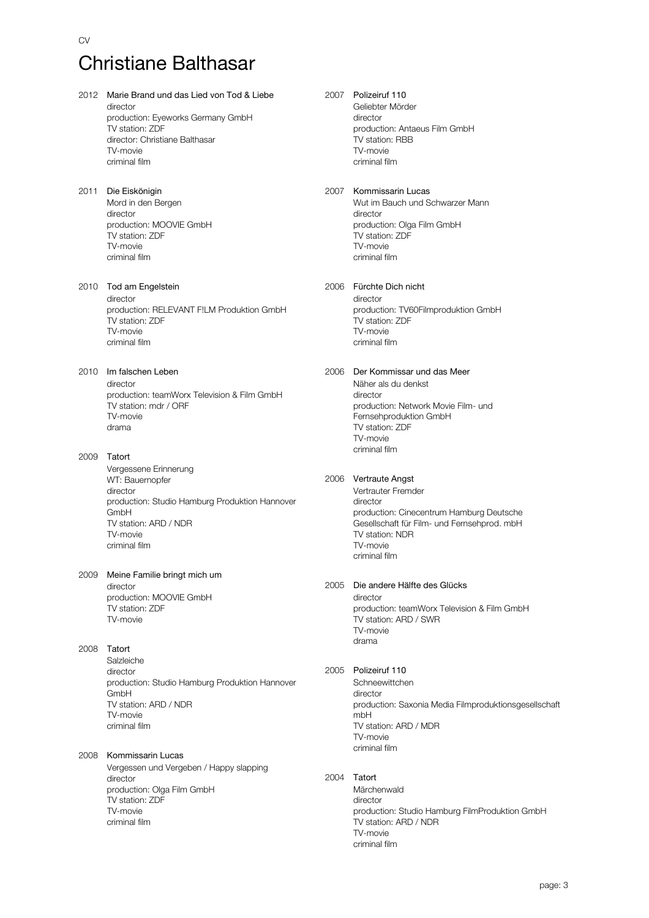# Christiane Balthasar

CV

2012 Marie Brand und das Lied von Tod & Liebe director production: Eyeworks Germany GmbH TV station: ZDF director: Christiane Balthasar TV-movie criminal film 2011 Die Eiskönigin Mord in den Bergen director production: MOOVIE GmbH TV station: ZDF TV-movie criminal film 2010 Tod am Engelstein director production: RELEVANT F!LM Produktion GmbH TV station: ZDF TV-movie criminal film 2010 Im falschen Leben director production: teamWorx Television & Film GmbH TV station: mdr / ORF TV-movie drama 2009 Tatort Vergessene Erinnerung WT: Bauernopfer director production: Studio Hamburg Produktion Hannover GmbH TV station: ARD / NDR TV-movie criminal film

2009 Meine Familie bringt mich um director production: MOOVIE GmbH TV station: ZDF

2008 Tatort

TV-movie

**Salzleiche** director production: Studio Hamburg Produktion Hannover GmbH TV station: ARD / NDR TV-movie criminal film

2008 Kommissarin Lucas

Vergessen und Vergeben / Happy slapping director production: Olga Film GmbH TV station: ZDF TV-movie criminal film

# 2007 Polizeiruf 110

Geliebter Mörder director production: Antaeus Film GmbH TV station: RBB TV-movie criminal film

## 2007 Kommissarin Lucas

Wut im Bauch und Schwarzer Mann director production: Olga Film GmbH TV station: ZDF TV-movie criminal film

#### 2006 Fürchte Dich nicht

director production: TV60Filmproduktion GmbH TV station: ZDF TV-movie criminal film

#### 2006 Der Kommissar und das Meer Näher als du denkst

director production: Network Movie Film- und Fernsehproduktion GmbH TV station: ZDF TV-movie criminal film

#### 2006 Vertraute Angst

Vertrauter Fremder director production: Cinecentrum Hamburg Deutsche Gesellschaft für Film- und Fernsehprod. mbH TV station: NDR TV-movie criminal film

#### 2005 Die andere Hälfte des Glücks

director production: teamWorx Television & Film GmbH TV station: ARD / SWR TV-movie drama

#### 2005 Polizeiruf 110

**Schneewittchen** director production: Saxonia Media Filmproduktionsgesellschaft mbH TV station: ARD / MDR TV-movie criminal film

#### 2004 Tatort

Märchenwald director production: Studio Hamburg FilmProduktion GmbH TV station: ARD / NDR TV-movie criminal film